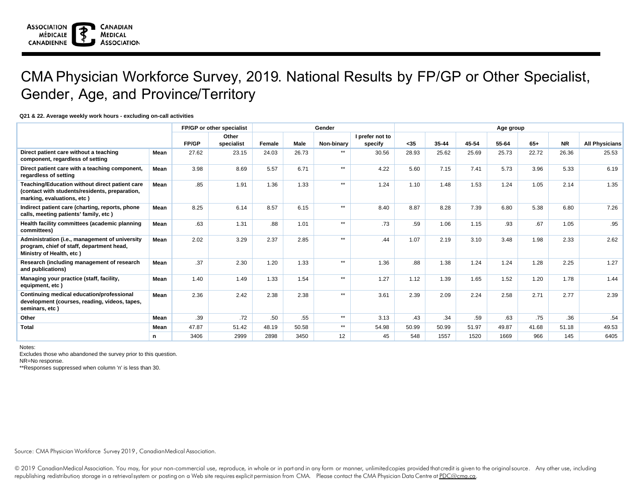## CMA Physician Workforce Survey, 2019. National Results by FP/GP or Other Specialist, Gender, Age, and Province/Territory

## **Q21 & 22. Average weekly work hours - excluding on-call activities**

|                                                                                                                                | FP/GP or other specialist |       |                     |        | Gender      | Age group    |                            |       |       |       |       |       |           |                       |
|--------------------------------------------------------------------------------------------------------------------------------|---------------------------|-------|---------------------|--------|-------------|--------------|----------------------------|-------|-------|-------|-------|-------|-----------|-----------------------|
|                                                                                                                                |                           | FP/GP | Other<br>specialist | Female | <b>Male</b> | Non-binary   | I prefer not to<br>specify | $35$  | 35-44 | 45-54 | 55-64 | $65+$ | <b>NR</b> | <b>All Physicians</b> |
| Direct patient care without a teaching<br>component, regardless of setting                                                     | Mean                      | 27.62 | 23.15               | 24.03  | 26.73       | $**$         | 30.56                      | 28.93 | 25.62 | 25.69 | 25.73 | 22.72 | 26.36     | 25.53                 |
| Direct patient care with a teaching component,<br>regardless of setting                                                        | Mean                      | 3.98  | 8.69                | 5.57   | 6.71        | $\star\star$ | 4.22                       | 5.60  | 7.15  | 7.41  | 5.73  | 3.96  | 5.33      | 6.19                  |
| Teaching/Education without direct patient care<br>(contact with students/residents, preparation,<br>marking, evaluations, etc) | Mean                      | .85   | 1.91                | 1.36   | 1.33        | $**$         | 1.24                       | 1.10  | 1.48  | 1.53  | 1.24  | 1.05  | 2.14      | 1.35                  |
| Indirect patient care (charting, reports, phone<br>calls, meeting patients' family, etc)                                       | Mean                      | 8.25  | 6.14                | 8.57   | 6.15        | $**$         | 8.40                       | 8.87  | 8.28  | 7.39  | 6.80  | 5.38  | 6.80      | 7.26                  |
| Health facility committees (academic planning<br>committees)                                                                   | Mean                      | .63   | 1.31                | .88    | 1.01        | $**$         | .73                        | .59   | 1.06  | 1.15  | .93   | .67   | 1.05      | .95                   |
| Administration (i.e., management of university<br>program, chief of staff, department head,<br>Ministry of Health, etc)        | Mean                      | 2.02  | 3.29                | 2.37   | 2.85        | $**$         | .44                        | 1.07  | 2.19  | 3.10  | 3.48  | 1.98  | 2.33      | 2.62                  |
| Research (including management of research<br>and publications)                                                                | Mean                      | .37   | 2.30                | 1.20   | 1.33        | $**$         | 1.36                       | .88   | 1.38  | 1.24  | 1.24  | 1.28  | 2.25      | 1.27                  |
| Managing your practice (staff, facility,<br>equipment, etc)                                                                    | Mean                      | 1.40  | 1.49                | 1.33   | 1.54        | $**$         | 1.27                       | 1.12  | 1.39  | 1.65  | 1.52  | 1.20  | 1.78      | 1.44                  |
| Continuing medical education/professional<br>development (courses, reading, videos, tapes,<br>seminars, etc)                   | Mean                      | 2.36  | 2.42                | 2.38   | 2.38        | $**$         | 3.61                       | 2.39  | 2.09  | 2.24  | 2.58  | 2.71  | 2.77      | 2.39                  |
| Other                                                                                                                          | Mean                      | .39   | .72                 | .50    | .55         | $**$         | 3.13                       | .43   | .34   | .59   | .63   | .75   | .36       | .54                   |
| <b>Total</b>                                                                                                                   | Mean                      | 47.87 | 51.42               | 48.19  | 50.58       | $**$         | 54.98                      | 50.99 | 50.99 | 51.97 | 49.87 | 41.68 | 51.18     | 49.53                 |
|                                                                                                                                | n.                        | 3406  | 2999                | 2898   | 3450        | 12           | 45                         | 548   | 1557  | 1520  | 1669  | 966   | 145       | 6405                  |

Notes:

Excludes those who abandoned the survey prior to this question.

NR=No response.

\*\*Responses suppressed when column 'n' is less than 30.

Source: CMA Physician Workforce Survey 2019, CanadianMedical Association.

© 2019 CanadianMedical Association. You may, for your non-commercial use, reproduce, in whole or in part and in any form or manner, unlimited copies provided that credit is given to the original source. Any other use, incl republishing redistribution storage in a retrievalsystem or posting on a Web site requires explicit permission from CMA. Please contact the CMA Physician Data Centre at PDC@cma.ca.